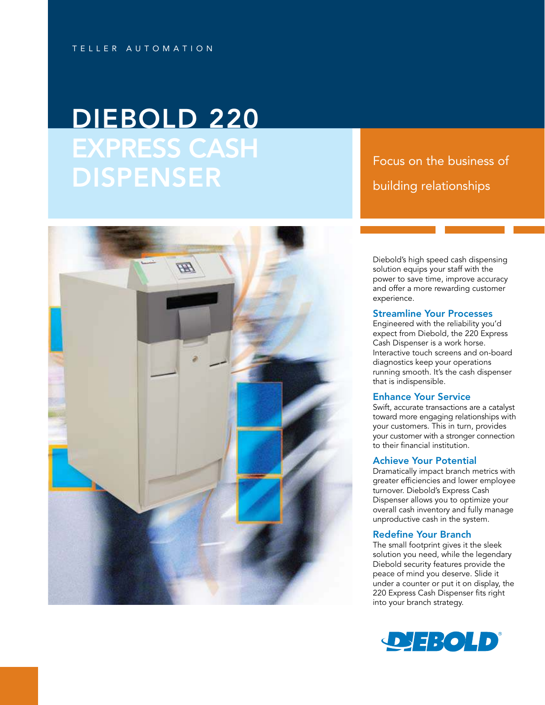# DIEBOLD 220 EXPRESS CASH **DISPENSER**

# Focus on the business of building relationships



Diebold's high speed cash dispensing solution equips your staff with the power to save time, improve accuracy and offer a more rewarding customer experience.

### Streamline Your Processes

Engineered with the reliability you'd expect from Diebold, the 220 Express Cash Dispenser is a work horse. Interactive touch screens and on-board diagnostics keep your operations running smooth. It's the cash dispenser that is indispensible.

# Enhance Your Service

Swift, accurate transactions are a catalyst toward more engaging relationships with your customers. This in turn, provides your customer with a stronger connection to their financial institution.

#### Achieve Your Potential

Dramatically impact branch metrics with greater efficiencies and lower employee turnover. Diebold's Express Cash Dispenser allows you to optimize your overall cash inventory and fully manage unproductive cash in the system.

#### Redefine Your Branch

The small footprint gives it the sleek solution you need, while the legendary Diebold security features provide the peace of mind you deserve. Slide it under a counter or put it on display, the 220 Express Cash Dispenser fits right into your branch strategy.